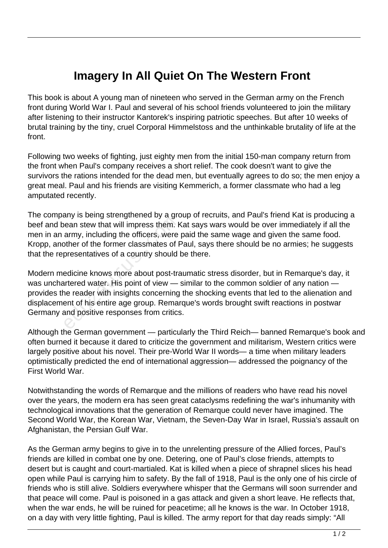## **Imagery In All Quiet On The Western Front**

This book is about A young man of nineteen who served in the German army on the French front during World War I. Paul and several of his school friends volunteered to join the military after listening to their instructor Kantorek's inspiring patriotic speeches. But after 10 weeks of brutal training by the tiny, cruel Corporal Himmelstoss and the unthinkable brutality of life at the front.

Following two weeks of fighting, just eighty men from the initial 150-man company return from the front when Paul's company receives a short relief. The cook doesn't want to give the survivors the rations intended for the dead men, but eventually agrees to do so; the men enjoy a great meal. Paul and his friends are visiting Kemmerich, a former classmate who had a leg amputated recently.

The company is being strengthened by a group of recruits, and Paul's friend Kat is producing a beef and bean stew that will impress them. Kat says wars would be over immediately if all the men in an army, including the officers, were paid the same wage and given the same food. Kropp, another of the former classmates of Paul, says there should be no armies; he suggests that the representatives of a country should be there.

Modern medicine knows more about post-traumatic stress disorder, but in Remarque's day, it was unchartered water. His point of view — similar to the common soldier of any nation provides the reader with insights concerning the shocking events that led to the alienation and displacement of his entire age group. Remarque's words brought swift reactions in postwar Germany and positive responses from critics. educed by the temperature and the army, including the officers, were other of the former classmates of F<br>presentatives of a country should<br>edicine knows more about post-trantered water. His point of view —<br>ne reader with i

Although the German government — particularly the Third Reich— banned Remarque's book and often burned it because it dared to criticize the government and militarism, Western critics were largely positive about his novel. Their pre-World War II words— a time when military leaders optimistically predicted the end of international aggression— addressed the poignancy of the First World War.

Notwithstanding the words of Remarque and the millions of readers who have read his novel over the years, the modern era has seen great cataclysms redefining the war's inhumanity with technological innovations that the generation of Remarque could never have imagined. The Second World War, the Korean War, Vietnam, the Seven-Day War in Israel, Russia's assault on Afghanistan, the Persian Gulf War.

As the German army begins to give in to the unrelenting pressure of the Allied forces, Paul's friends are killed in combat one by one. Detering, one of Paul's close friends, attempts to desert but is caught and court-martialed. Kat is killed when a piece of shrapnel slices his head open while Paul is carrying him to safety. By the fall of 1918, Paul is the only one of his circle of friends who is still alive. Soldiers everywhere whisper that the Germans will soon surrender and that peace will come. Paul is poisoned in a gas attack and given a short leave. He reflects that, when the war ends, he will be ruined for peacetime; all he knows is the war. In October 1918, on a day with very little fighting, Paul is killed. The army report for that day reads simply: "All